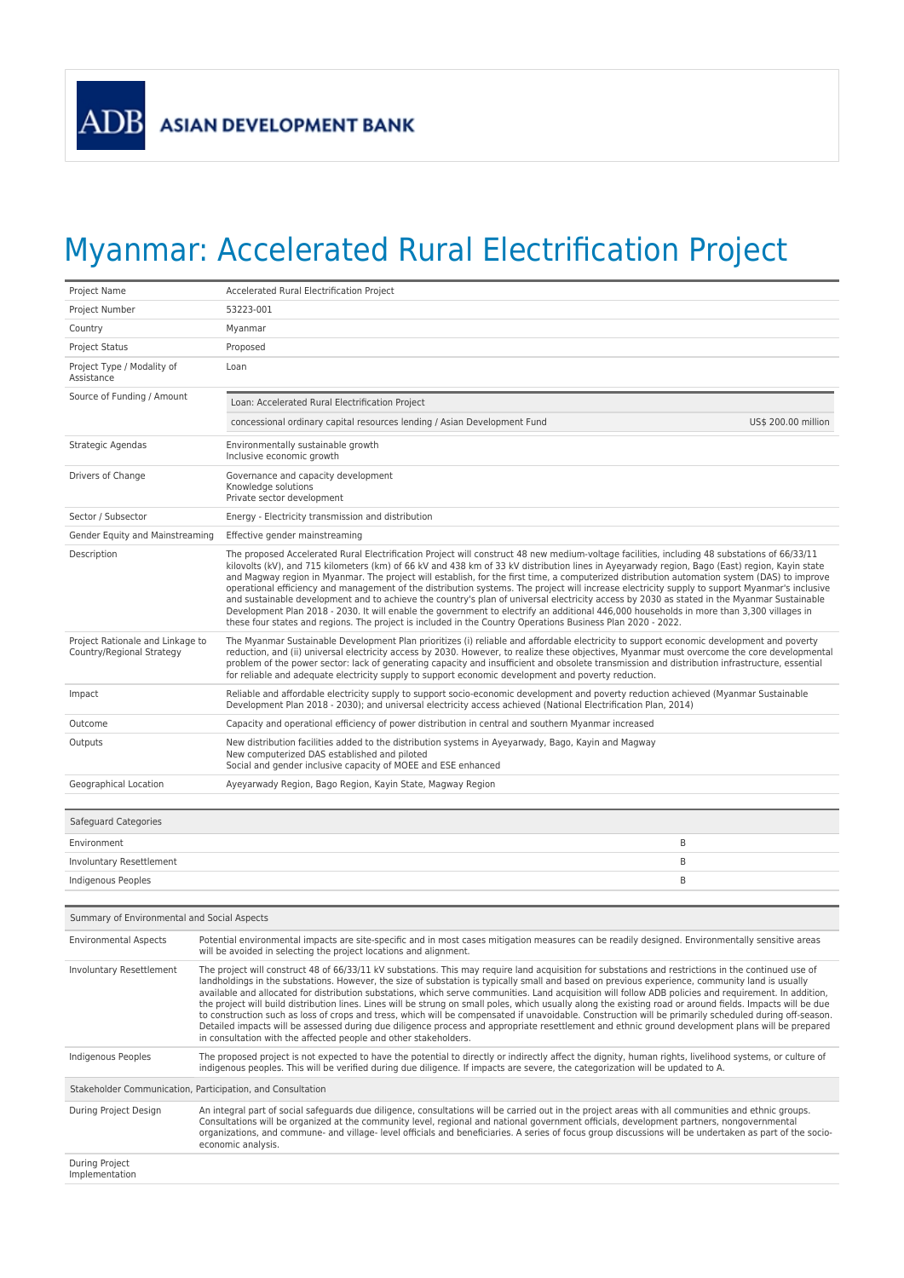

## Myanmar: Accelerated Rural Electrification Project

| Project Name                                                  | Accelerated Rural Electrification Project                                                                                                                                                                                                                                                                                                                                                                                                                                                                                                                                                                                                                                                                                                                                                                                                                                                                                                                                                                          |  |
|---------------------------------------------------------------|--------------------------------------------------------------------------------------------------------------------------------------------------------------------------------------------------------------------------------------------------------------------------------------------------------------------------------------------------------------------------------------------------------------------------------------------------------------------------------------------------------------------------------------------------------------------------------------------------------------------------------------------------------------------------------------------------------------------------------------------------------------------------------------------------------------------------------------------------------------------------------------------------------------------------------------------------------------------------------------------------------------------|--|
| Project Number                                                | 53223-001                                                                                                                                                                                                                                                                                                                                                                                                                                                                                                                                                                                                                                                                                                                                                                                                                                                                                                                                                                                                          |  |
| Country                                                       | Myanmar                                                                                                                                                                                                                                                                                                                                                                                                                                                                                                                                                                                                                                                                                                                                                                                                                                                                                                                                                                                                            |  |
| <b>Project Status</b>                                         | Proposed                                                                                                                                                                                                                                                                                                                                                                                                                                                                                                                                                                                                                                                                                                                                                                                                                                                                                                                                                                                                           |  |
| Project Type / Modality of<br>Assistance                      | Loan                                                                                                                                                                                                                                                                                                                                                                                                                                                                                                                                                                                                                                                                                                                                                                                                                                                                                                                                                                                                               |  |
| Source of Funding / Amount                                    | Loan: Accelerated Rural Electrification Project                                                                                                                                                                                                                                                                                                                                                                                                                                                                                                                                                                                                                                                                                                                                                                                                                                                                                                                                                                    |  |
|                                                               | concessional ordinary capital resources lending / Asian Development Fund<br>US\$ 200.00 million                                                                                                                                                                                                                                                                                                                                                                                                                                                                                                                                                                                                                                                                                                                                                                                                                                                                                                                    |  |
| Strategic Agendas                                             | Environmentally sustainable growth<br>Inclusive economic growth                                                                                                                                                                                                                                                                                                                                                                                                                                                                                                                                                                                                                                                                                                                                                                                                                                                                                                                                                    |  |
| Drivers of Change                                             | Governance and capacity development<br>Knowledge solutions<br>Private sector development                                                                                                                                                                                                                                                                                                                                                                                                                                                                                                                                                                                                                                                                                                                                                                                                                                                                                                                           |  |
| Sector / Subsector                                            | Energy - Electricity transmission and distribution                                                                                                                                                                                                                                                                                                                                                                                                                                                                                                                                                                                                                                                                                                                                                                                                                                                                                                                                                                 |  |
| Gender Equity and Mainstreaming                               | Effective gender mainstreaming                                                                                                                                                                                                                                                                                                                                                                                                                                                                                                                                                                                                                                                                                                                                                                                                                                                                                                                                                                                     |  |
| Description                                                   | The proposed Accelerated Rural Electrification Project will construct 48 new medium-voltage facilities, including 48 substations of 66/33/11<br>kilovolts (kV), and 715 kilometers (km) of 66 kV and 438 km of 33 kV distribution lines in Ayeyarwady region, Bago (East) region, Kayin state<br>and Magway region in Myanmar. The project will establish, for the first time, a computerized distribution automation system (DAS) to improve<br>operational efficiency and management of the distribution systems. The project will increase electricity supply to support Myanmar's inclusive<br>and sustainable development and to achieve the country's plan of universal electricity access by 2030 as stated in the Myanmar Sustainable<br>Development Plan 2018 - 2030. It will enable the government to electrify an additional 446,000 households in more than 3,300 villages in<br>these four states and regions. The project is included in the Country Operations Business Plan 2020 - 2022.           |  |
| Project Rationale and Linkage to<br>Country/Regional Strategy | The Myanmar Sustainable Development Plan prioritizes (i) reliable and affordable electricity to support economic development and poverty<br>reduction, and (ii) universal electricity access by 2030. However, to realize these objectives, Myanmar must overcome the core developmental<br>problem of the power sector: lack of generating capacity and insufficient and obsolete transmission and distribution infrastructure, essential<br>for reliable and adequate electricity supply to support economic development and poverty reduction.                                                                                                                                                                                                                                                                                                                                                                                                                                                                  |  |
| Impact                                                        | Reliable and affordable electricity supply to support socio-economic development and poverty reduction achieved (Myanmar Sustainable<br>Development Plan 2018 - 2030); and universal electricity access achieved (National Electrification Plan, 2014)                                                                                                                                                                                                                                                                                                                                                                                                                                                                                                                                                                                                                                                                                                                                                             |  |
| Outcome                                                       | Capacity and operational efficiency of power distribution in central and southern Myanmar increased                                                                                                                                                                                                                                                                                                                                                                                                                                                                                                                                                                                                                                                                                                                                                                                                                                                                                                                |  |
| Outputs                                                       | New distribution facilities added to the distribution systems in Ayeyarwady, Bago, Kayin and Magway<br>New computerized DAS established and piloted<br>Social and gender inclusive capacity of MOEE and ESE enhanced                                                                                                                                                                                                                                                                                                                                                                                                                                                                                                                                                                                                                                                                                                                                                                                               |  |
| Geographical Location                                         | Ayeyarwady Region, Bago Region, Kayin State, Magway Region                                                                                                                                                                                                                                                                                                                                                                                                                                                                                                                                                                                                                                                                                                                                                                                                                                                                                                                                                         |  |
| Safeguard Categories                                          |                                                                                                                                                                                                                                                                                                                                                                                                                                                                                                                                                                                                                                                                                                                                                                                                                                                                                                                                                                                                                    |  |
| Environment                                                   | B                                                                                                                                                                                                                                                                                                                                                                                                                                                                                                                                                                                                                                                                                                                                                                                                                                                                                                                                                                                                                  |  |
| Involuntary Resettlement                                      | B                                                                                                                                                                                                                                                                                                                                                                                                                                                                                                                                                                                                                                                                                                                                                                                                                                                                                                                                                                                                                  |  |
| Indigenous Peoples                                            | B                                                                                                                                                                                                                                                                                                                                                                                                                                                                                                                                                                                                                                                                                                                                                                                                                                                                                                                                                                                                                  |  |
|                                                               |                                                                                                                                                                                                                                                                                                                                                                                                                                                                                                                                                                                                                                                                                                                                                                                                                                                                                                                                                                                                                    |  |
| Summary of Environmental and Social Aspects                   |                                                                                                                                                                                                                                                                                                                                                                                                                                                                                                                                                                                                                                                                                                                                                                                                                                                                                                                                                                                                                    |  |
| <b>Environmental Aspects</b>                                  | Potential environmental impacts are site-specific and in most cases mitigation measures can be readily designed. Environmentally sensitive areas<br>will be avoided in selecting the project locations and alignment.                                                                                                                                                                                                                                                                                                                                                                                                                                                                                                                                                                                                                                                                                                                                                                                              |  |
| Involuntary Resettlement                                      | The project will construct 48 of 66/33/11 kV substations. This may require land acquisition for substations and restrictions in the continued use of<br>landholdings in the substations. However, the size of substation is typically small and based on previous experience, community land is usually<br>available and allocated for distribution substations, which serve communities. Land acquisition will follow ADB policies and requirement. In addition,<br>the project will build distribution lines. Lines will be strung on small poles, which usually along the existing road or around fields. Impacts will be due<br>to construction such as loss of crops and tress, which will be compensated if unavoidable. Construction will be primarily scheduled during off-season.<br>Detailed impacts will be assessed during due diligence process and appropriate resettlement and ethnic ground development plans will be prepared<br>in consultation with the affected people and other stakeholders. |  |
| Indigenous Peoples                                            | The proposed project is not expected to have the potential to directly or indirectly affect the dignity, human rights, livelihood systems, or culture of<br>indigenous peoples. This will be verified during due diligence. If impacts are severe, the categorization will be updated to A.                                                                                                                                                                                                                                                                                                                                                                                                                                                                                                                                                                                                                                                                                                                        |  |
| Stakeholder Communication, Participation, and Consultation    |                                                                                                                                                                                                                                                                                                                                                                                                                                                                                                                                                                                                                                                                                                                                                                                                                                                                                                                                                                                                                    |  |
| During Project Design                                         | An integral part of social safeguards due diligence, consultations will be carried out in the project areas with all communities and ethnic groups.<br>Consultations will be organized at the community level, regional and national government officials, development partners, nongovernmental<br>organizations, and commune- and village- level officials and beneficiaries. A series of focus group discussions will be undertaken as part of the socio-<br>economic analysis.                                                                                                                                                                                                                                                                                                                                                                                                                                                                                                                                 |  |
| During Project<br>Implementation                              |                                                                                                                                                                                                                                                                                                                                                                                                                                                                                                                                                                                                                                                                                                                                                                                                                                                                                                                                                                                                                    |  |